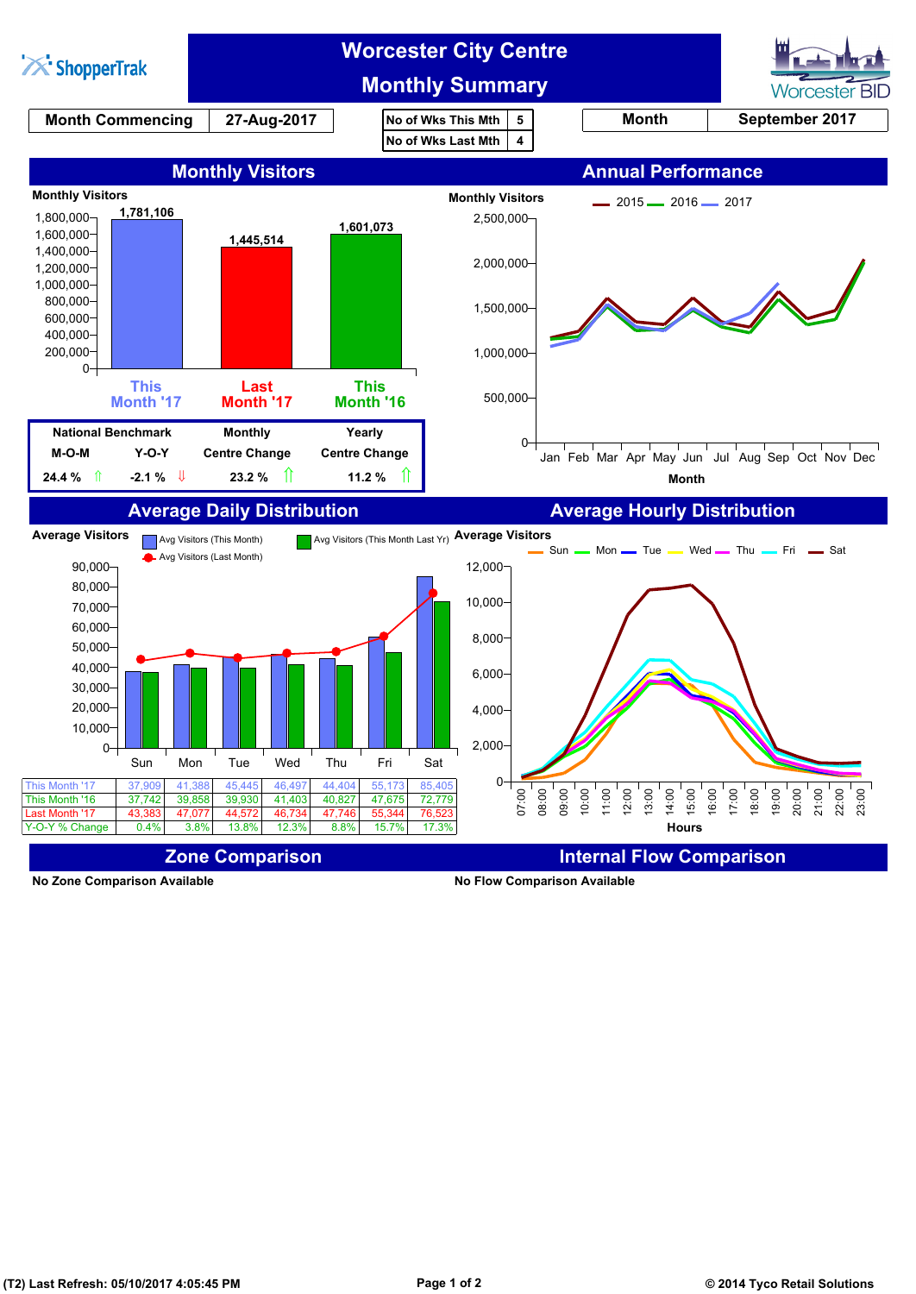

**No Zone Comparison Available No Flow Comparison Available**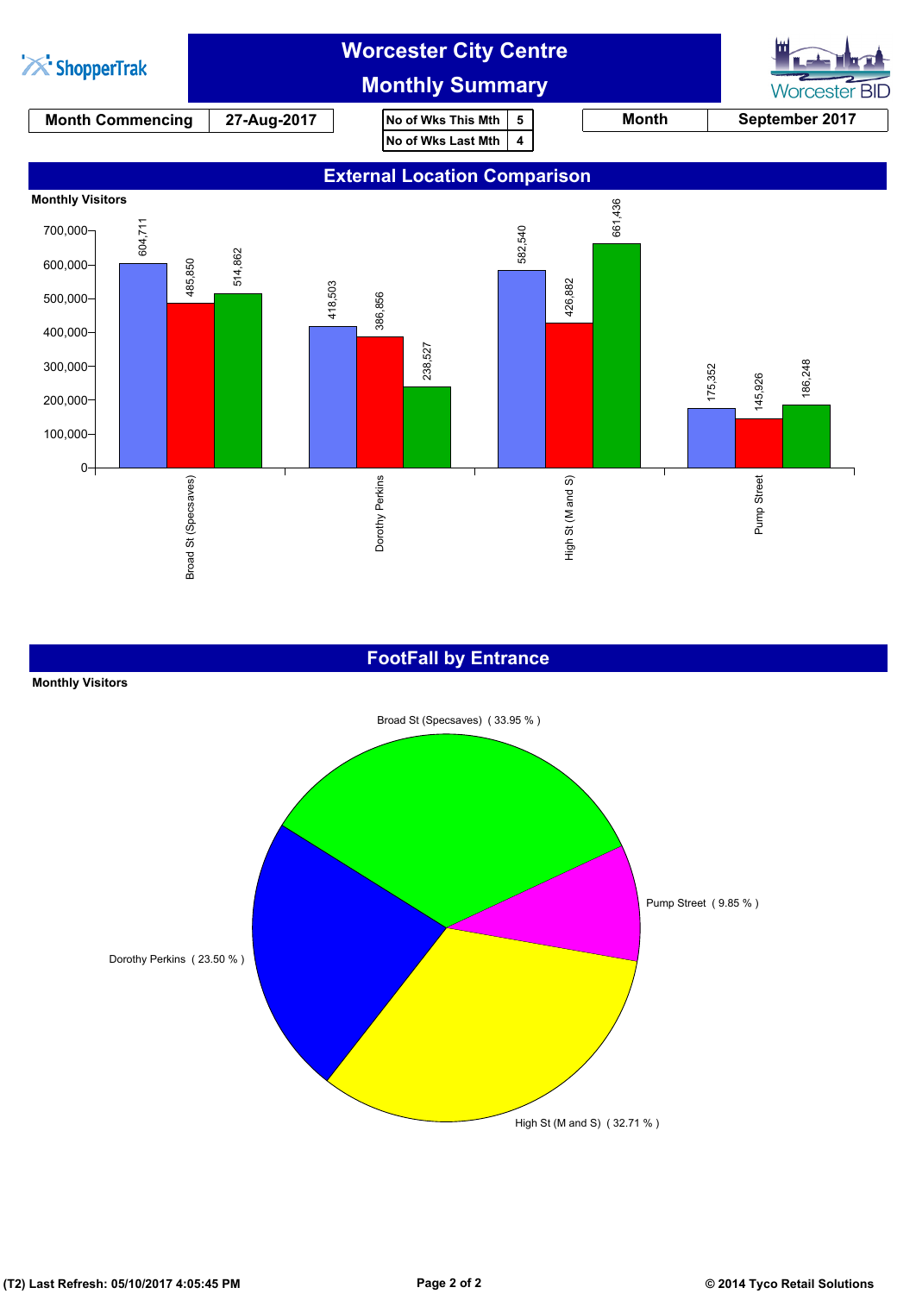

### **FootFall by Entrance**

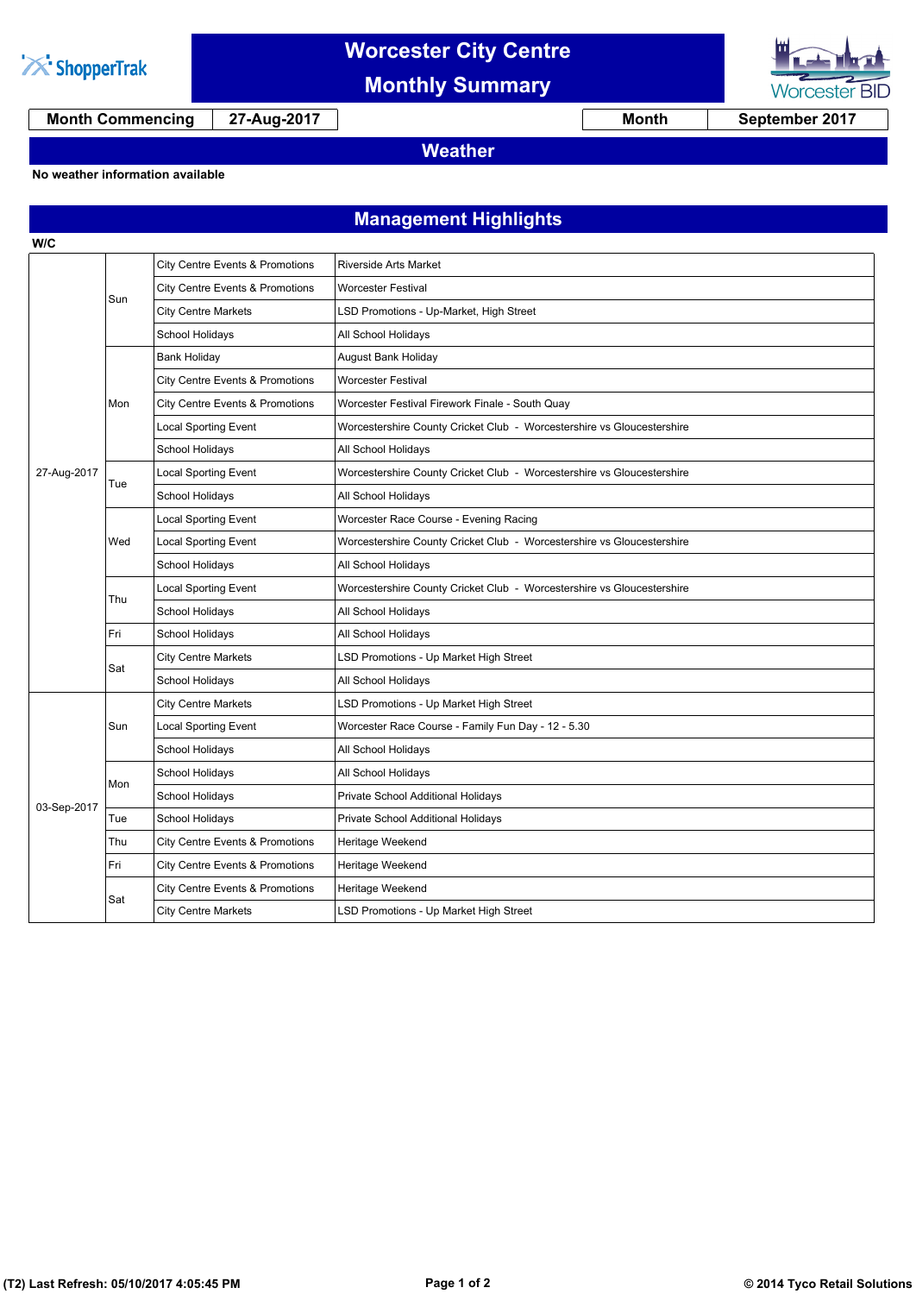![](_page_2_Picture_0.jpeg)

**W/C**

## **Worcester City Centre**

**Monthly Summary**

![](_page_2_Picture_3.jpeg)

**Month Commencing 27-Aug-2017 Month September 2017**

**Weather**

#### **No weather information available**

### **Management Highlights**

| 27-Aug-2017 | Sun | City Centre Events & Promotions | <b>Riverside Arts Market</b>                                           |
|-------------|-----|---------------------------------|------------------------------------------------------------------------|
|             |     | City Centre Events & Promotions | <b>Worcester Festival</b>                                              |
|             |     | <b>City Centre Markets</b>      | LSD Promotions - Up-Market, High Street                                |
|             |     | School Holidays                 | All School Holidays                                                    |
|             | Mon | <b>Bank Holiday</b>             | August Bank Holiday                                                    |
|             |     | City Centre Events & Promotions | Worcester Festival                                                     |
|             |     | City Centre Events & Promotions | Worcester Festival Firework Finale - South Quay                        |
|             |     | <b>Local Sporting Event</b>     | Worcestershire County Cricket Club - Worcestershire vs Gloucestershire |
|             |     | School Holidays                 | All School Holidays                                                    |
|             | Tue | <b>Local Sporting Event</b>     | Worcestershire County Cricket Club - Worcestershire vs Gloucestershire |
|             |     | School Holidays                 | All School Holidays                                                    |
|             | Wed | <b>Local Sporting Event</b>     | Worcester Race Course - Evening Racing                                 |
|             |     | <b>Local Sporting Event</b>     | Worcestershire County Cricket Club - Worcestershire vs Gloucestershire |
|             |     | <b>School Holidays</b>          | All School Holidays                                                    |
|             | Thu | <b>Local Sporting Event</b>     | Worcestershire County Cricket Club - Worcestershire vs Gloucestershire |
|             |     | School Holidays                 | All School Holidays                                                    |
|             | Fri | School Holidays                 | All School Holidays                                                    |
|             | Sat | <b>City Centre Markets</b>      | LSD Promotions - Up Market High Street                                 |
|             |     | School Holidays                 | All School Holidays                                                    |
| 03-Sep-2017 | Sun | <b>City Centre Markets</b>      | LSD Promotions - Up Market High Street                                 |
|             |     | <b>Local Sporting Event</b>     | Worcester Race Course - Family Fun Day - 12 - 5.30                     |
|             |     | School Holidays                 | All School Holidays                                                    |
|             | Mon | School Holidays                 | All School Holidays                                                    |
|             |     | School Holidays                 | Private School Additional Holidays                                     |
|             | Tue | School Holidays                 | Private School Additional Holidays                                     |
|             | Thu | City Centre Events & Promotions | Heritage Weekend                                                       |
|             | Fri | City Centre Events & Promotions | Heritage Weekend                                                       |
|             | Sat | City Centre Events & Promotions | Heritage Weekend                                                       |
|             |     | <b>City Centre Markets</b>      | LSD Promotions - Up Market High Street                                 |